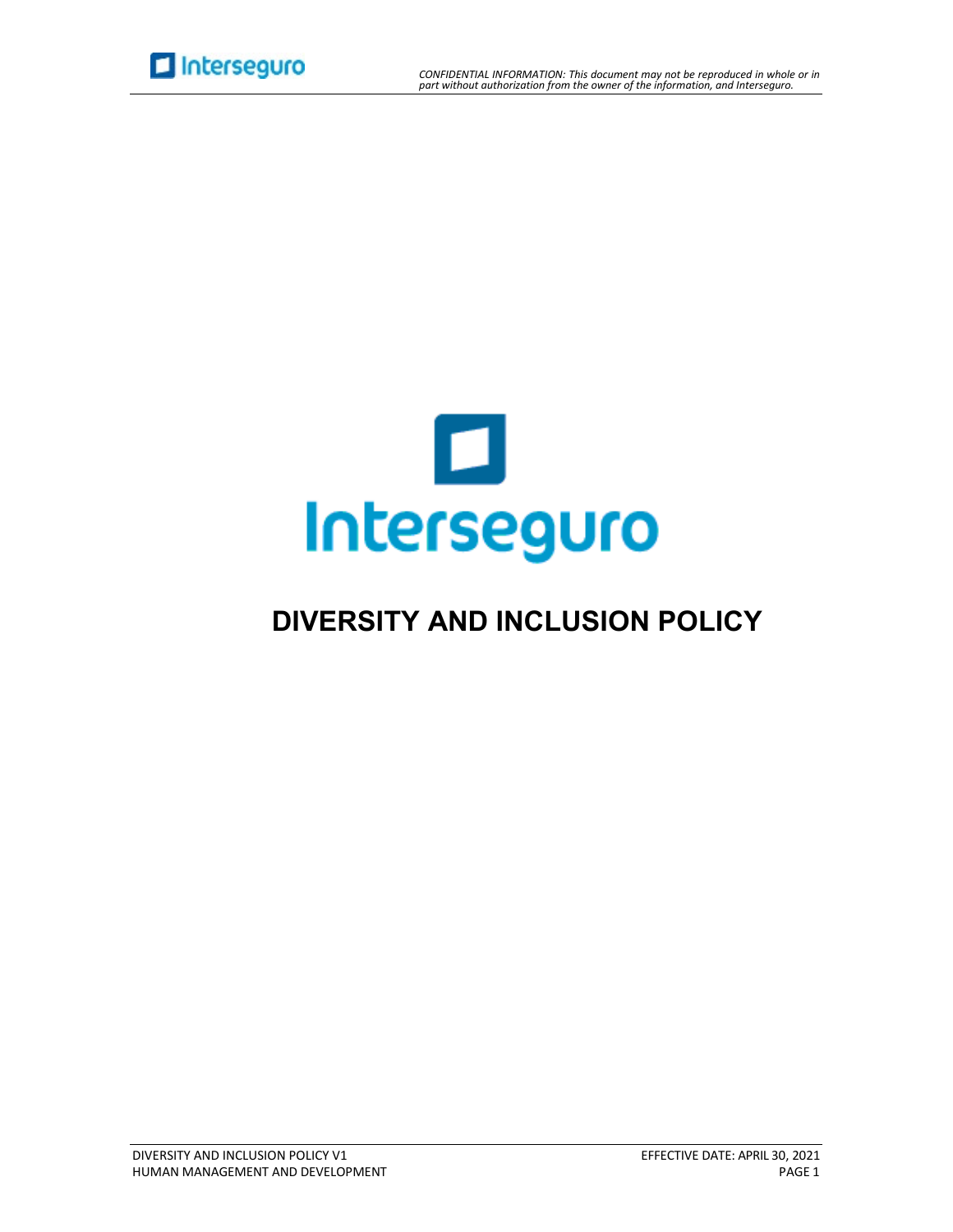



# **DIVERSITY AND INCLUSION POLICY**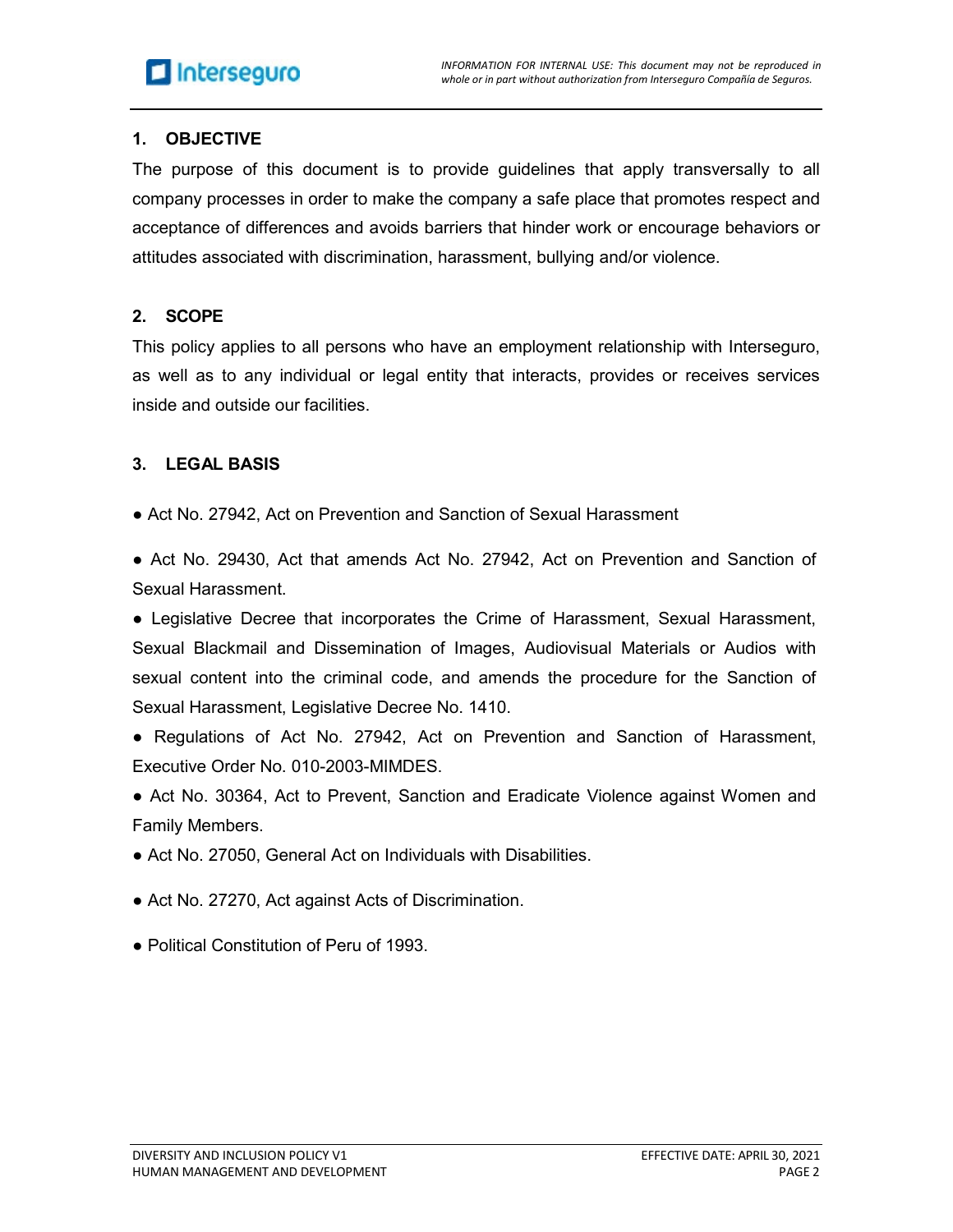## **1. OBJECTIVE**

The purpose of this document is to provide guidelines that apply transversally to all company processes in order to make the company a safe place that promotes respect and acceptance of differences and avoids barriers that hinder work or encourage behaviors or attitudes associated with discrimination, harassment, bullying and/or violence.

#### **2. SCOPE**

This policy applies to all persons who have an employment relationship with Interseguro, as well as to any individual or legal entity that interacts, provides or receives services inside and outside our facilities.

### **3. LEGAL BASIS**

• Act No. 27942, Act on Prevention and Sanction of Sexual Harassment

● Act No. 29430, Act that amends Act No. 27942, Act on Prevention and Sanction of Sexual Harassment.

● Legislative Decree that incorporates the Crime of Harassment, Sexual Harassment, Sexual Blackmail and Dissemination of Images, Audiovisual Materials or Audios with sexual content into the criminal code, and amends the procedure for the Sanction of Sexual Harassment, Legislative Decree No. 1410.

● Regulations of Act No. 27942, Act on Prevention and Sanction of Harassment, Executive Order No. 010-2003-MIMDES.

• Act No. 30364, Act to Prevent, Sanction and Eradicate Violence against Women and Family Members.

- Act No. 27050, General Act on Individuals with Disabilities.
- Act No. 27270, Act against Acts of Discrimination.
- Political Constitution of Peru of 1993.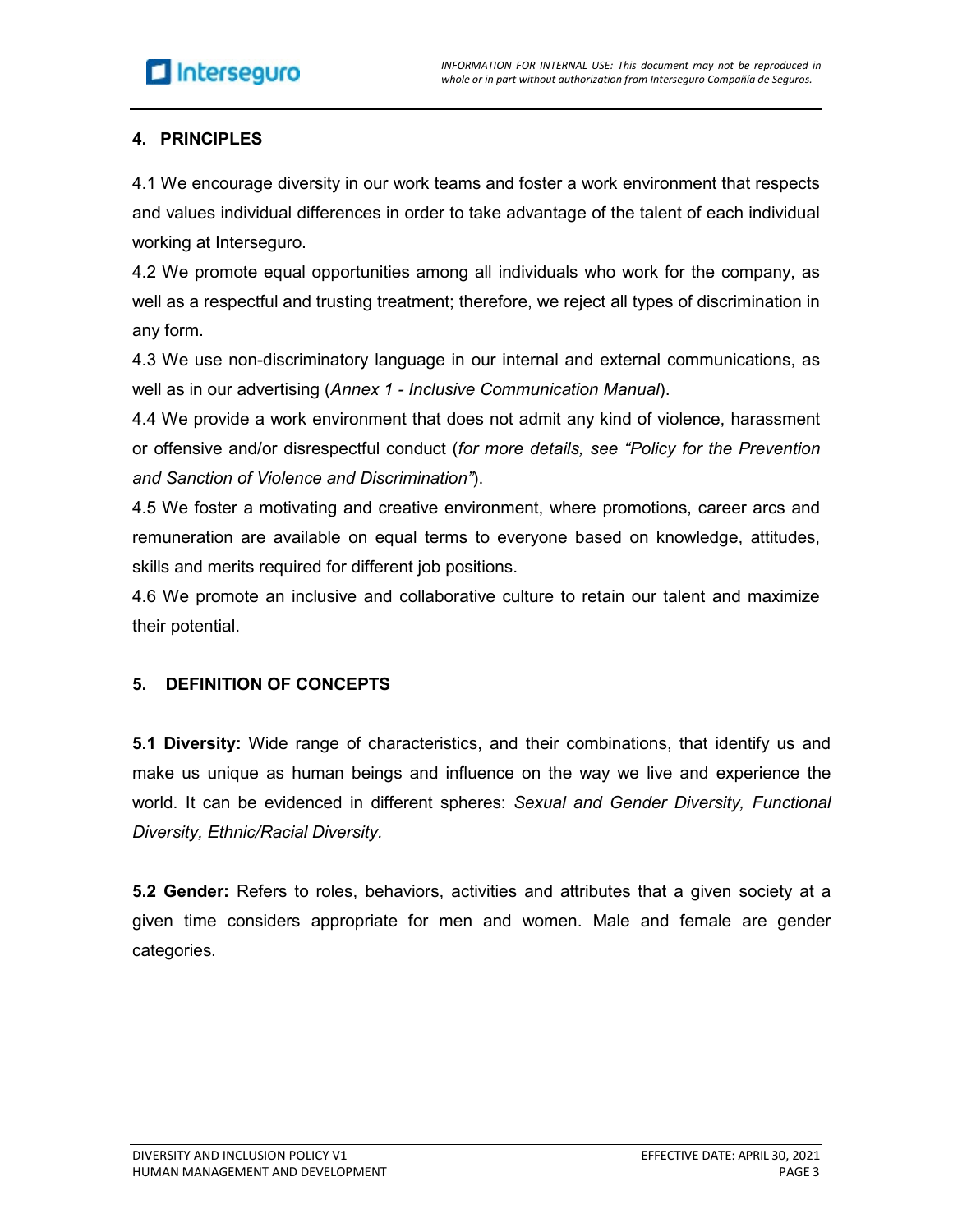## **4. PRINCIPLES**

4.1 We encourage diversity in our work teams and foster a work environment that respects and values individual differences in order to take advantage of the talent of each individual working at Interseguro.

4.2 We promote equal opportunities among all individuals who work for the company, as well as a respectful and trusting treatment; therefore, we reject all types of discrimination in any form.

4.3 We use non-discriminatory language in our internal and external communications, as well as in our advertising (*Annex 1 - Inclusive Communication Manual*).

4.4 We provide a work environment that does not admit any kind of violence, harassment or offensive and/or disrespectful conduct (*for more details, see "Policy for the Prevention and Sanction of Violence and Discrimination"*).

4.5 We foster a motivating and creative environment, where promotions, career arcs and remuneration are available on equal terms to everyone based on knowledge, attitudes, skills and merits required for different job positions.

4.6 We promote an inclusive and collaborative culture to retain our talent and maximize their potential.

## **5. DEFINITION OF CONCEPTS**

**5.1 Diversity:** Wide range of characteristics, and their combinations, that identify us and make us unique as human beings and influence on the way we live and experience the world. It can be evidenced in different spheres: *Sexual and Gender Diversity, Functional Diversity, Ethnic/Racial Diversity.*

**5.2 Gender:** Refers to roles, behaviors, activities and attributes that a given society at a given time considers appropriate for men and women. Male and female are gender categories.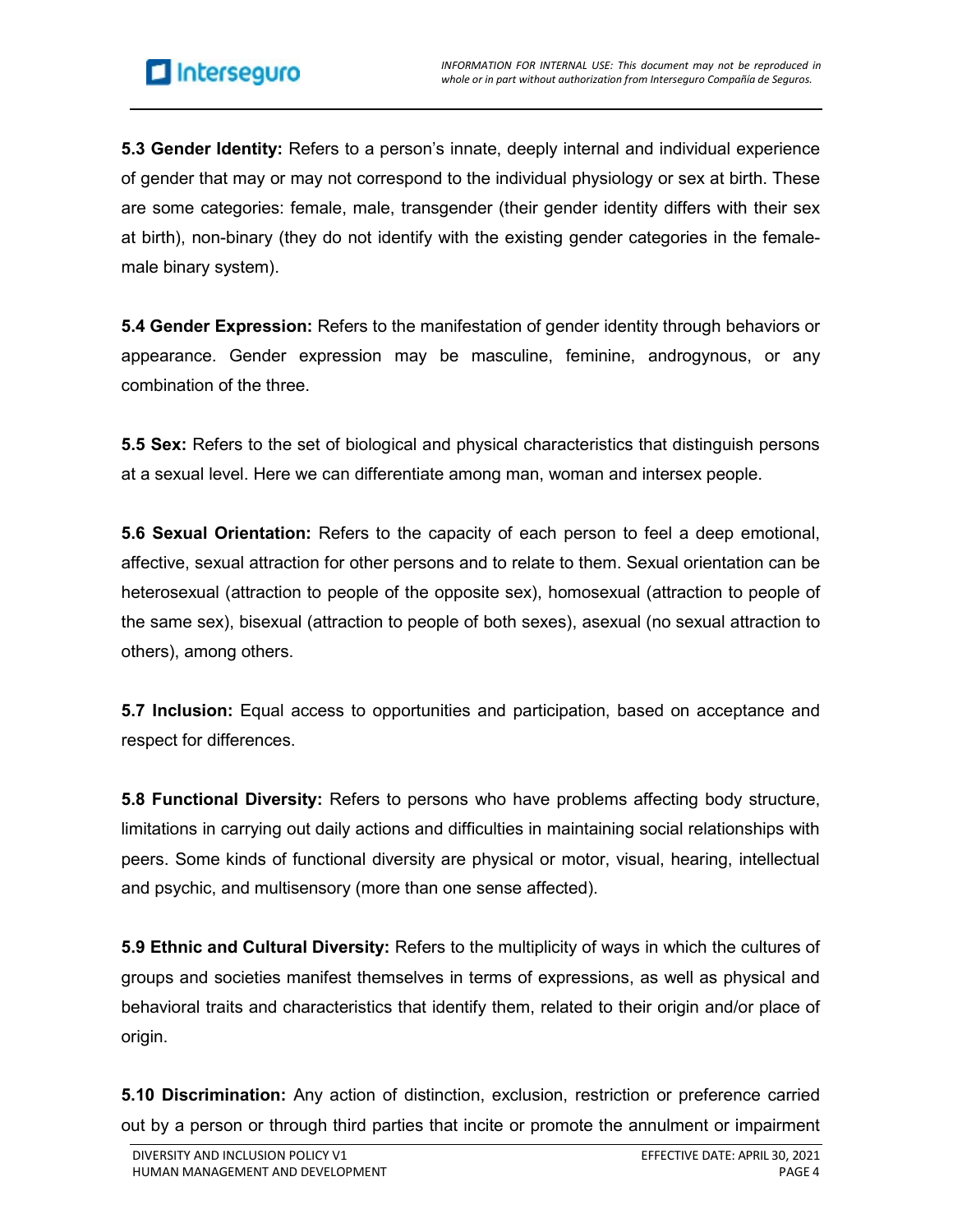**5.3 Gender Identity:** Refers to a person's innate, deeply internal and individual experience of gender that may or may not correspond to the individual physiology or sex at birth. These are some categories: female, male, transgender (their gender identity differs with their sex at birth), non-binary (they do not identify with the existing gender categories in the femalemale binary system).

**5.4 Gender Expression:** Refers to the manifestation of gender identity through behaviors or appearance. Gender expression may be masculine, feminine, androgynous, or any combination of the three.

**5.5 Sex:** Refers to the set of biological and physical characteristics that distinguish persons at a sexual level. Here we can differentiate among man, woman and intersex people.

**5.6 Sexual Orientation:** Refers to the capacity of each person to feel a deep emotional, affective, sexual attraction for other persons and to relate to them. Sexual orientation can be heterosexual (attraction to people of the opposite sex), homosexual (attraction to people of the same sex), bisexual (attraction to people of both sexes), asexual (no sexual attraction to others), among others.

**5.7 Inclusion:** Equal access to opportunities and participation, based on acceptance and respect for differences.

**5.8 Functional Diversity:** Refers to persons who have problems affecting body structure, limitations in carrying out daily actions and difficulties in maintaining social relationships with peers. Some kinds of functional diversity are physical or motor, visual, hearing, intellectual and psychic, and multisensory (more than one sense affected).

**5.9 Ethnic and Cultural Diversity:** Refers to the multiplicity of ways in which the cultures of groups and societies manifest themselves in terms of expressions, as well as physical and behavioral traits and characteristics that identify them, related to their origin and/or place of origin.

**5.10 Discrimination:** Any action of distinction, exclusion, restriction or preference carried out by a person or through third parties that incite or promote the annulment or impairment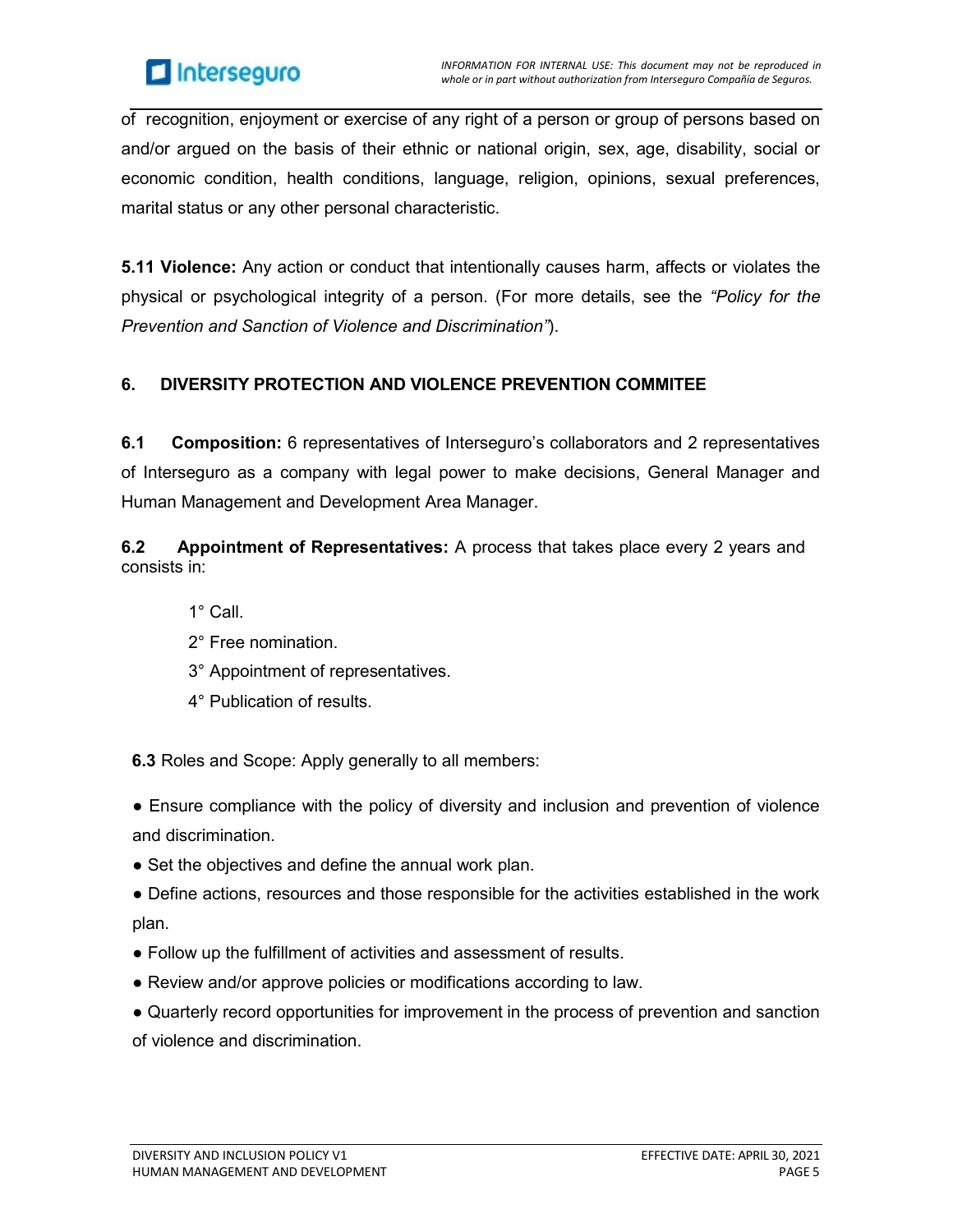

of recognition, enjoyment or exercise of any right of a person or group of persons based on and/or argued on the basis of their ethnic or national origin, sex, age, disability, social or economic condition, health conditions, language, religion, opinions, sexual preferences, marital status or any other personal characteristic.

**5.11 Violence:** Any action or conduct that intentionally causes harm, affects or violates the physical or psychological integrity of a person. (For more details, see the *"Policy for the Prevention and Sanction of Violence and Discrimination"*).

## **6. DIVERSITY PROTECTION AND VIOLENCE PREVENTION COMMITEE**

**6.1 Composition:** 6 representatives of Interseguro's collaborators and 2 representatives of Interseguro as a company with legal power to make decisions, General Manager and Human Management and Development Area Manager.

**6.2 Appointment of Representatives:** A process that takes place every 2 years and consists in:

- 1° Call.
- 2° Free nomination.
- 3° Appointment of representatives.
- 4° Publication of results.

**6.3** Roles and Scope: Apply generally to all members:

- Ensure compliance with the policy of diversity and inclusion and prevention of violence and discrimination.
- Set the objectives and define the annual work plan.
- Define actions, resources and those responsible for the activities established in the work plan.
- Follow up the fulfillment of activities and assessment of results.
- Review and/or approve policies or modifications according to law.
- Quarterly record opportunities for improvement in the process of prevention and sanction of violence and discrimination.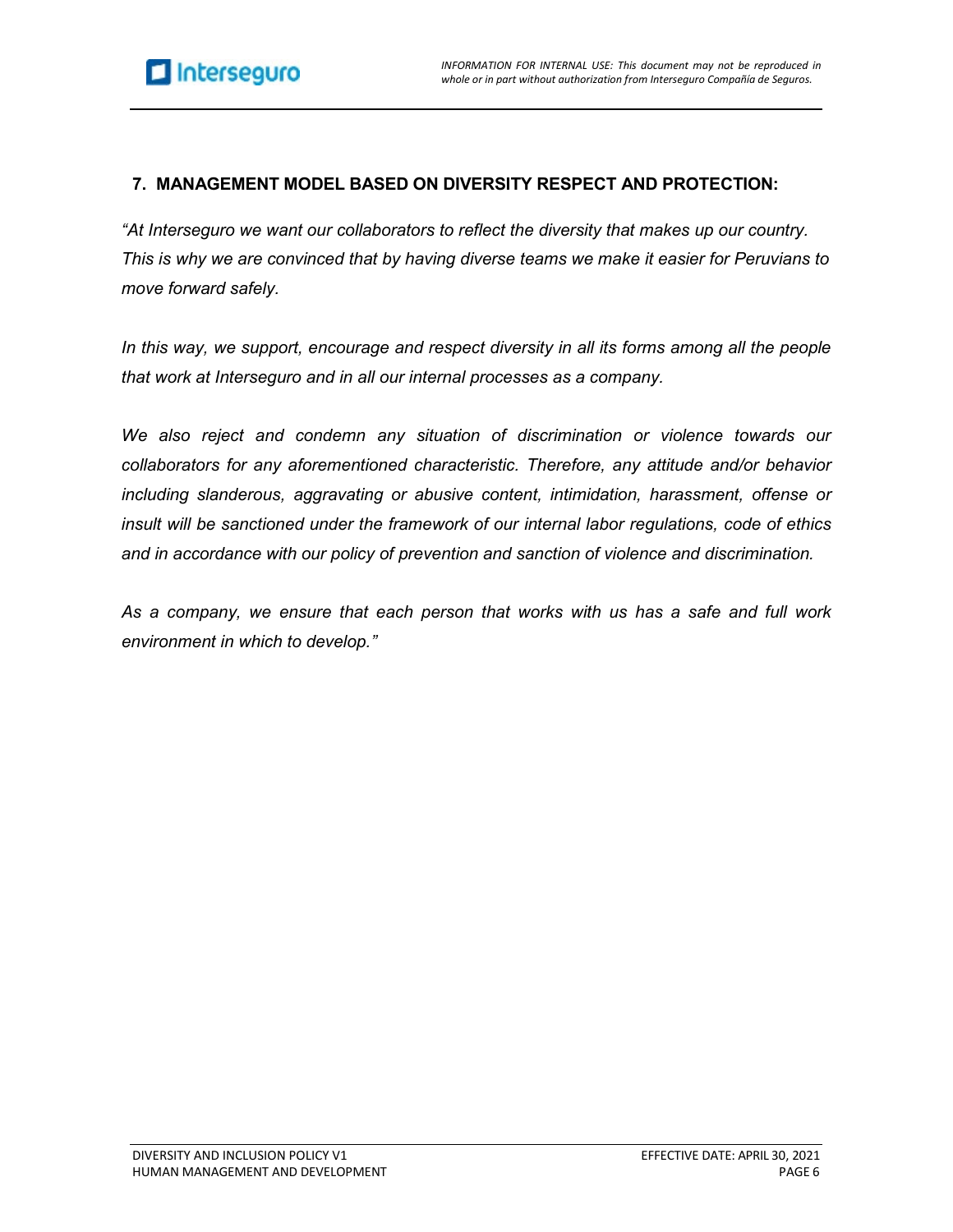## **7. MANAGEMENT MODEL BASED ON DIVERSITY RESPECT AND PROTECTION:**

*"At Interseguro we want our collaborators to reflect the diversity that makes up our country. This is why we are convinced that by having diverse teams we make it easier for Peruvians to move forward safely.*

*In this way, we support, encourage and respect diversity in all its forms among all the people that work at Interseguro and in all our internal processes as a company.*

*We also reject and condemn any situation of discrimination or violence towards our collaborators for any aforementioned characteristic. Therefore, any attitude and/or behavior including slanderous, aggravating or abusive content, intimidation, harassment, offense or insult will be sanctioned under the framework of our internal labor regulations, code of ethics and in accordance with our policy of prevention and sanction of violence and discrimination.*

*As a company, we ensure that each person that works with us has a safe and full work environment in which to develop."*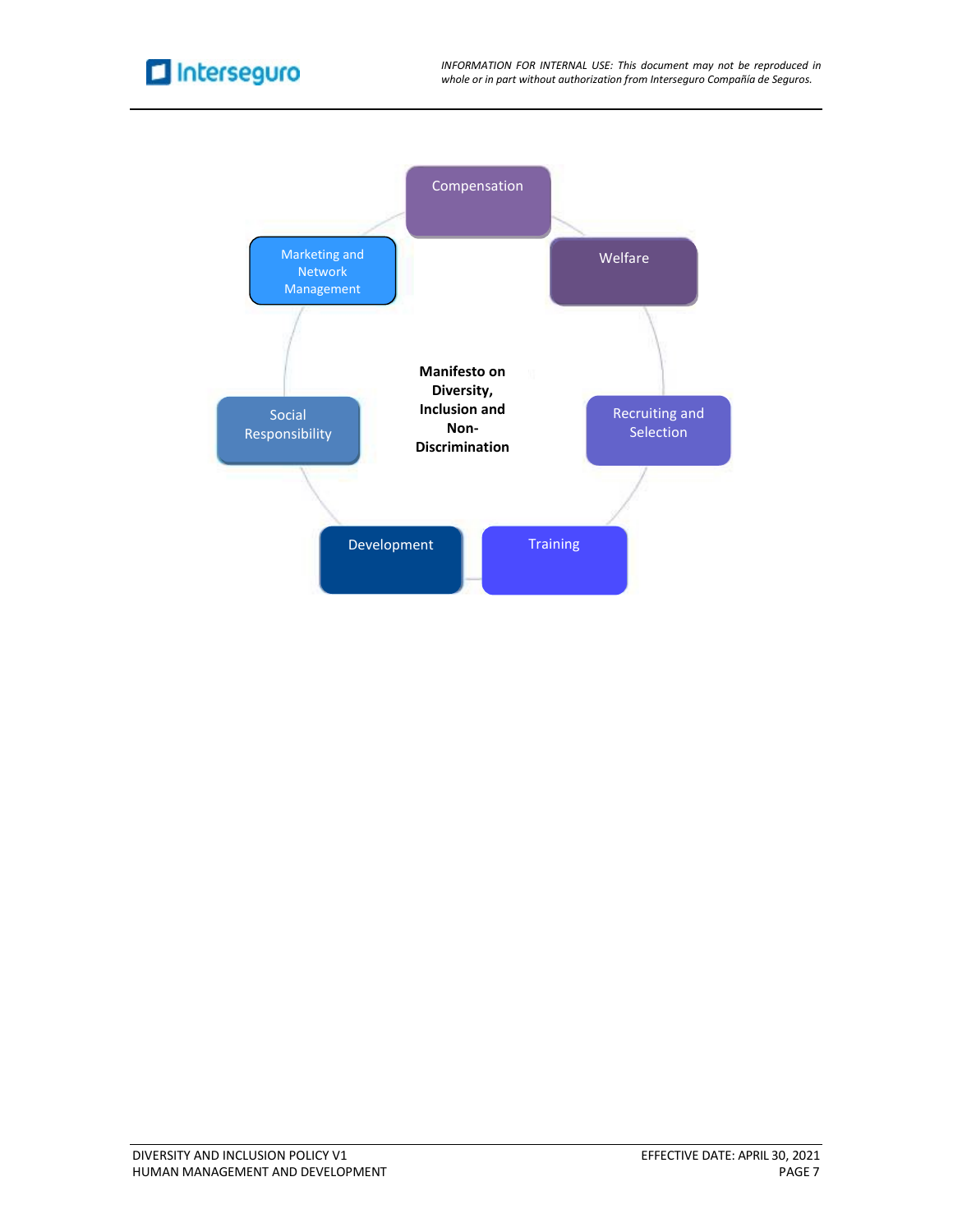